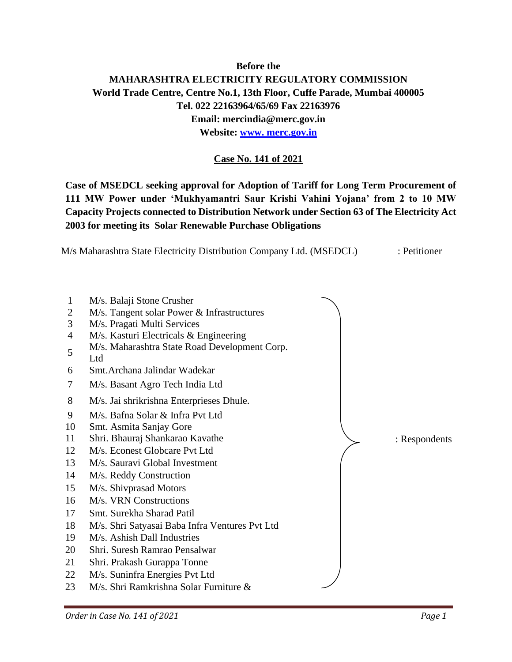## **Before the MAHARASHTRA ELECTRICITY REGULATORY COMMISSION World Trade Centre, Centre No.1, 13th Floor, Cuffe Parade, Mumbai 400005 Tel. 022 22163964/65/69 Fax 22163976 Email: [mercindia@merc.gov.in](mailto:mercindia@merc.gov.in) Website: [www. merc.gov.in](http://www.merc.gov.in/)**

### **Case No. 141 of 2021**

**Case of MSEDCL seeking approval for Adoption of Tariff for Long Term Procurement of MW Power under 'Mukhyamantri Saur Krishi Vahini Yojana' from 2 to 10 MW Capacity Projects connected to Distribution Network under Section 63 of The Electricity Act for meeting its Solar Renewable Purchase Obligations**

M/s Maharashtra State Electricity Distribution Company Ltd. (MSEDCL) : Petitioner

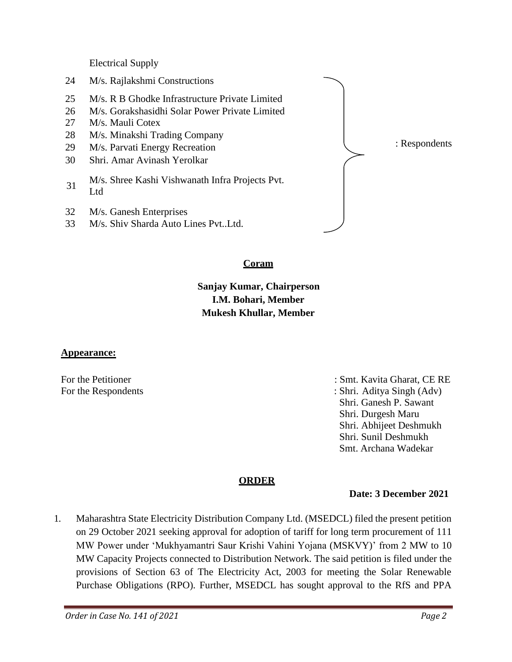Electrical Supply

- 24 M/s. Rajlakshmi Constructions
- 25 M/s. R B Ghodke Infrastructure Private Limited
- 26 M/s. Gorakshasidhi Solar Power Private Limited
- 27 M/s. Mauli Cotex
- 28 M/s. Minakshi Trading Company
- 29 M/s. Parvati Energy Recreation
- 30 Shri. Amar Avinash Yerolkar
- <sup>31</sup> M/s. Shree Kashi Vishwanath Infra Projects Pvt. Ltd
- 32 M/s. Ganesh Enterprises
- 33 M/s. Shiv Sharda Auto Lines Pvt..Ltd.

: Respondents

#### **Coram**

# **Sanjay Kumar, Chairperson I.M. Bohari, Member Mukesh Khullar, Member**

#### **Appearance:**

For the Petitioner : Smt. Kavita Gharat, CE RE

For the Respondents : Shri. Aditya Singh (Adv) Shri. Ganesh P. Sawant Shri. Durgesh Maru Shri. Abhijeet Deshmukh Shri. Sunil Deshmukh Smt. Archana Wadekar

### **ORDER**

#### **Date: 3 December 2021**

1. Maharashtra State Electricity Distribution Company Ltd. (MSEDCL) filed the present petition on 29 October 2021 seeking approval for adoption of tariff for long term procurement of 111 MW Power under 'Mukhyamantri Saur Krishi Vahini Yojana (MSKVY)' from 2 MW to 10 MW Capacity Projects connected to Distribution Network. The said petition is filed under the provisions of Section 63 of The Electricity Act, 2003 for meeting the Solar Renewable Purchase Obligations (RPO). Further, MSEDCL has sought approval to the RfS and PPA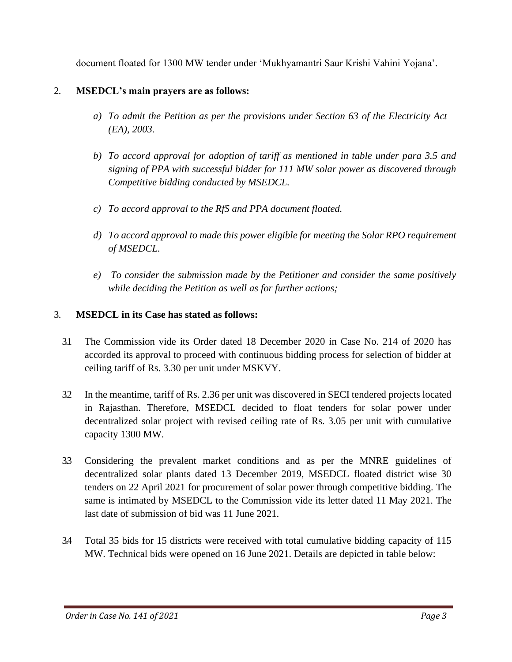document floated for 1300 MW tender under 'Mukhyamantri Saur Krishi Vahini Yojana'.

### 2. **MSEDCL's main prayers are as follows:**

- *a) To admit the Petition as per the provisions under Section 63 of the Electricity Act (EA), 2003.*
- *b) To accord approval for adoption of tariff as mentioned in table under para 3.5 and signing of PPA with successful bidder for 111 MW solar power as discovered through Competitive bidding conducted by MSEDCL.*
- *c) To accord approval to the RfS and PPA document floated.*
- *d) To accord approval to made this power eligible for meeting the Solar RPO requirement of MSEDCL.*
- *e) To consider the submission made by the Petitioner and consider the same positively while deciding the Petition as well as for further actions;*

#### 3. **MSEDCL in its Case has stated as follows:**

- 3.1 The Commission vide its Order dated 18 December 2020 in Case No. 214 of 2020 has accorded its approval to proceed with continuous bidding process for selection of bidder at ceiling tariff of Rs. 3.30 per unit under MSKVY.
- 3.2 In the meantime, tariff of Rs. 2.36 per unit was discovered in SECI tendered projects located in Rajasthan. Therefore, MSEDCL decided to float tenders for solar power under decentralized solar project with revised ceiling rate of Rs. 3.05 per unit with cumulative capacity 1300 MW.
- 3.3 Considering the prevalent market conditions and as per the MNRE guidelines of decentralized solar plants dated 13 December 2019, MSEDCL floated district wise 30 tenders on 22 April 2021 for procurement of solar power through competitive bidding. The same is intimated by MSEDCL to the Commission vide its letter dated 11 May 2021. The last date of submission of bid was 11 June 2021.
- 3.4 Total 35 bids for 15 districts were received with total cumulative bidding capacity of 115 MW. Technical bids were opened on 16 June 2021. Details are depicted in table below: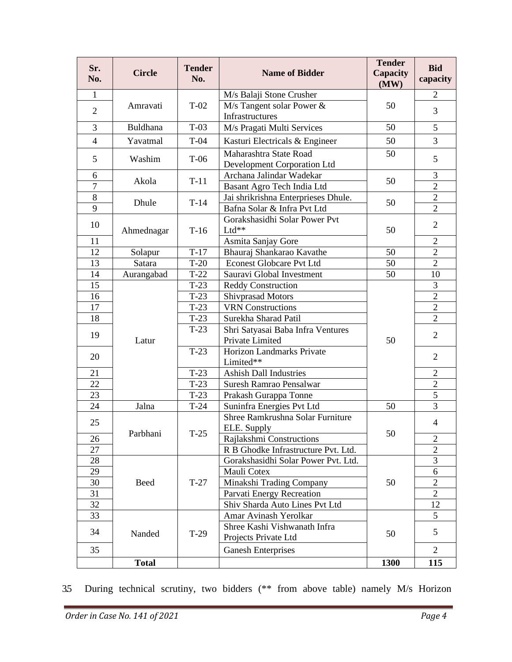| Sr.<br>No.     | <b>Circle</b>      | <b>Tender</b><br>No. | <b>Name of Bidder</b>                                 | <b>Tender</b><br>Capacity<br>(MW) | <b>Bid</b><br>capacity |
|----------------|--------------------|----------------------|-------------------------------------------------------|-----------------------------------|------------------------|
| $\mathbf{1}$   |                    |                      | M/s Balaji Stone Crusher                              |                                   | $\overline{2}$         |
| $\overline{2}$ | $T-02$<br>Amravati |                      | M/s Tangent solar Power &<br>Infrastructures          | 50                                | 3                      |
| 3              | Buldhana           | $T-03$               | M/s Pragati Multi Services                            | 50                                | 5                      |
| $\overline{4}$ | Yavatmal           | $T-04$               | Kasturi Electricals & Engineer                        | 50                                | 3                      |
| 5              | Washim             | $T-06$               | Maharashtra State Road<br>Development Corporation Ltd | 50                                | 5                      |
| 6              | Akola              | $T-11$               | Archana Jalindar Wadekar                              | 50                                | 3                      |
| $\overline{7}$ |                    |                      | Basant Agro Tech India Ltd                            |                                   | $\overline{2}$         |
| $8\,$          | Dhule              | $T-14$               | Jai shrikrishna Enterprieses Dhule.                   | 50                                | $\mathbf{2}$           |
| 9              |                    |                      | Bafna Solar & Infra Pvt Ltd                           |                                   | $\overline{2}$         |
| 10             | Ahmednagar         | $T-16$               | Gorakshasidhi Solar Power Pvt<br>Ltd**                | 50                                | $\overline{2}$         |
| 11             |                    |                      | Asmita Sanjay Gore                                    |                                   | $\overline{2}$         |
| 12             | Solapur            | $T-17$               | Bhauraj Shankarao Kavathe                             | 50                                | $\overline{2}$         |
| 13             | Satara             | $T-20$               | <b>Econest Globcare Pvt Ltd</b>                       | 50                                | $\overline{2}$         |
| 14             | Aurangabad         | $T-22$               | Sauravi Global Investment                             | 50                                | 10                     |
| 15             |                    | $T-23$               | <b>Reddy Construction</b>                             |                                   | 3                      |
| 16             |                    | $T-23$               | Shivprasad Motors                                     |                                   | $\sqrt{2}$             |
| 17             |                    | $T-23$               | <b>VRN</b> Constructions                              |                                   | $\overline{2}$         |
| 18             |                    | $T-23$               | Surekha Sharad Patil                                  |                                   | $\overline{2}$         |
|                |                    | $T-23$               | Shri Satyasai Baba Infra Ventures                     |                                   |                        |
| 19             | Latur              |                      | Private Limited                                       | 50                                | 2                      |
| 20             |                    | $T-23$               | Horizon Landmarks Private<br>Limited**                |                                   | $\mathfrak{2}$         |
| 21             |                    | $T-23$               | <b>Ashish Dall Industries</b>                         |                                   | $\overline{2}$         |
| 22             |                    | $T-23$               | Suresh Ramrao Pensalwar                               |                                   | $\mathbf{2}$           |
| 23             |                    | $T-23$               | Prakash Gurappa Tonne                                 |                                   | 5                      |
| 24             | Jalna              | $T-24$               | Suninfra Energies Pvt Ltd                             | 50                                | 3                      |
| 25             |                    |                      | Shree Ramkrushna Solar Furniture<br>ELE. Supply       |                                   | $\overline{4}$         |
| 26             | Parbhani           | $T-25$               | Rajlakshmi Constructions                              | 50                                | $\overline{c}$         |
| 27             |                    |                      | R B Ghodke Infrastructure Pvt. Ltd.                   |                                   | $\overline{2}$         |
| 28             |                    |                      | Gorakshasidhi Solar Power Pvt. Ltd.                   |                                   | 3                      |
| 29             |                    |                      | Mauli Cotex                                           |                                   | 6                      |
| 30             | <b>Beed</b>        | $T-27$               | Minakshi Trading Company                              | 50                                | $\overline{2}$         |
| 31             |                    |                      | Parvati Energy Recreation                             |                                   | $\overline{2}$         |
| 32             |                    |                      | Shiv Sharda Auto Lines Pvt Ltd                        |                                   | 12                     |
| 33             |                    |                      | Amar Avinash Yerolkar                                 |                                   | 5                      |
| 34             | Nanded             | $T-29$               | Shree Kashi Vishwanath Infra<br>Projects Private Ltd  | 50                                | 5                      |
| 35             |                    |                      | <b>Ganesh Enterprises</b>                             |                                   | 2                      |
|                | <b>Total</b>       |                      |                                                       | 1300                              | 115                    |

3.5 During technical scrutiny, two bidders (\*\* from above table) namely M/s Horizon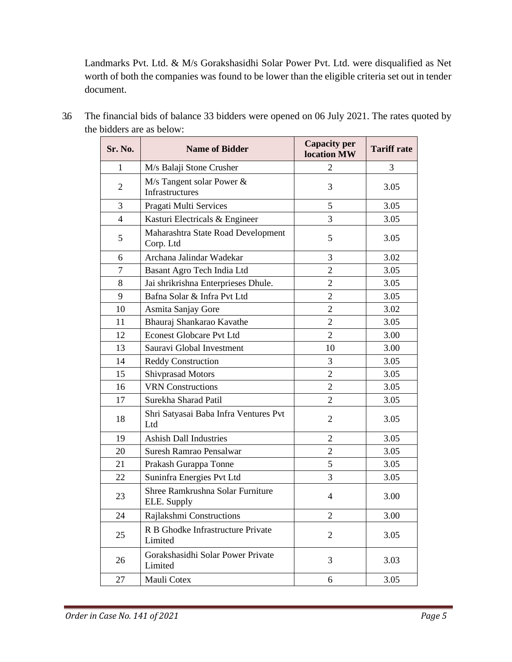Landmarks Pvt. Ltd. & M/s Gorakshasidhi Solar Power Pvt. Ltd. were disqualified as Net worth of both the companies was found to be lower than the eligible criteria set out in tender document.

| Sr. No.        | <b>Name of Bidder</b>                             | <b>Capacity per</b><br>location MW | <b>Tariff rate</b> |
|----------------|---------------------------------------------------|------------------------------------|--------------------|
| 1              | M/s Balaji Stone Crusher                          | $\overline{2}$                     | 3                  |
| $\overline{c}$ | $M/s$ Tangent solar Power $\&$<br>Infrastructures | 3                                  | 3.05               |
| 3              | Pragati Multi Services                            | 5                                  | 3.05               |
| $\overline{4}$ | Kasturi Electricals & Engineer                    | 3                                  | 3.05               |
| 5              | Maharashtra State Road Development<br>Corp. Ltd   | 5                                  | 3.05               |
| 6              | Archana Jalindar Wadekar                          | 3                                  | 3.02               |
| $\tau$         | Basant Agro Tech India Ltd                        | $\overline{2}$                     | 3.05               |
| 8              | Jai shrikrishna Enterprieses Dhule.               | $\overline{2}$                     | 3.05               |
| 9              | Bafna Solar & Infra Pvt Ltd                       | $\overline{2}$                     | 3.05               |
| 10             | Asmita Sanjay Gore                                | $\overline{2}$                     | 3.02               |
| 11             | Bhauraj Shankarao Kavathe                         | $\overline{2}$                     | 3.05               |
| 12             | <b>Econest Globcare Pvt Ltd</b>                   | $\overline{2}$                     | 3.00               |
| 13             | Sauravi Global Investment                         | 10                                 | 3.00               |
| 14             | <b>Reddy Construction</b>                         | 3                                  | 3.05               |
| 15             | <b>Shivprasad Motors</b>                          | $\overline{2}$                     | 3.05               |
| 16             | <b>VRN</b> Constructions                          | $\overline{2}$                     | 3.05               |
| 17             | Surekha Sharad Patil                              | $\mathfrak{2}$                     | 3.05               |
| 18             | Shri Satyasai Baba Infra Ventures Pvt<br>Ltd      | $\overline{2}$                     | 3.05               |
| 19             | <b>Ashish Dall Industries</b>                     | $\overline{2}$                     | 3.05               |
| 20             | Suresh Ramrao Pensalwar                           | $\overline{2}$                     | 3.05               |
| 21             | Prakash Gurappa Tonne                             | 5                                  | 3.05               |
| 22             | Suninfra Energies Pvt Ltd                         | 3                                  | 3.05               |
| 23             | Shree Ramkrushna Solar Furniture<br>ELE. Supply   | $\overline{4}$                     | 3.00               |
| 24             | Rajlakshmi Constructions                          | $\overline{c}$                     | 3.00               |
| 25             | R B Ghodke Infrastructure Private<br>Limited      | 2                                  | 3.05               |
| 26             | Gorakshasidhi Solar Power Private<br>Limited      | 3                                  | 3.03               |
| 27             | Mauli Cotex                                       | 6                                  | 3.05               |

3.6 The financial bids of balance 33 bidders were opened on 06 July 2021. The rates quoted by the bidders are as below: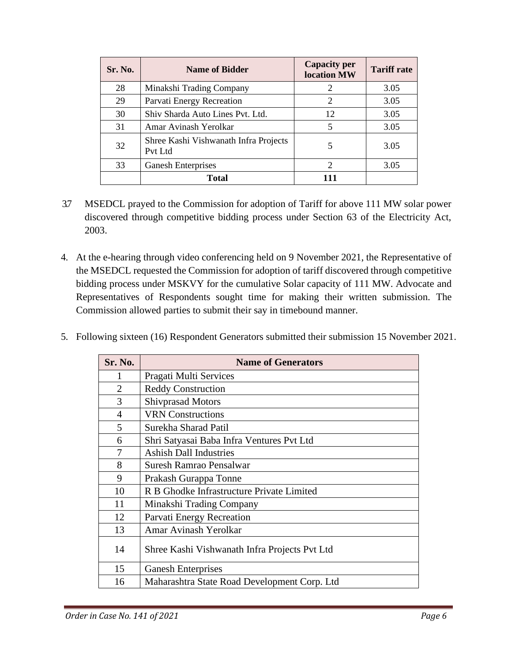| Sr. No. | <b>Name of Bidder</b>                            | <b>Capacity per</b><br><b>location MW</b> | <b>Tariff rate</b> |
|---------|--------------------------------------------------|-------------------------------------------|--------------------|
| 28      | Minakshi Trading Company                         | 2                                         | 3.05               |
| 29      | Parvati Energy Recreation                        | $\overline{2}$                            | 3.05               |
| 30      | Shiv Sharda Auto Lines Pvt. Ltd.                 | 12                                        | 3.05               |
| 31      | Amar Avinash Yerolkar                            | 5                                         | 3.05               |
| 32      | Shree Kashi Vishwanath Infra Projects<br>Pvt Ltd | 5                                         | 3.05               |
| 33      | <b>Ganesh Enterprises</b>                        | 2                                         | 3.05               |
|         | <b>Total</b>                                     | 111                                       |                    |

- 3.7 MSEDCL prayed to the Commission for adoption of Tariff for above 111 MW solar power discovered through competitive bidding process under Section 63 of the Electricity Act, 2003.
- 4. At the e-hearing through video conferencing held on 9 November 2021, the Representative of the MSEDCL requested the Commission for adoption of tariff discovered through competitive bidding process under MSKVY for the cumulative Solar capacity of 111 MW. Advocate and Representatives of Respondents sought time for making their written submission. The Commission allowed parties to submit their say in timebound manner.
- 5. Following sixteen (16) Respondent Generators submitted their submission 15 November 2021.

| <b>Sr. No.</b> | <b>Name of Generators</b>                     |
|----------------|-----------------------------------------------|
| 1              | Pragati Multi Services                        |
| $\overline{2}$ | <b>Reddy Construction</b>                     |
| 3              | <b>Shivprasad Motors</b>                      |
| $\overline{4}$ | <b>VRN</b> Constructions                      |
| 5              | Surekha Sharad Patil                          |
| 6              | Shri Satyasai Baba Infra Ventures Pvt Ltd     |
| 7              | <b>Ashish Dall Industries</b>                 |
| 8              | Suresh Ramrao Pensalwar                       |
| 9              | Prakash Gurappa Tonne                         |
| 10             | R B Ghodke Infrastructure Private Limited     |
| 11             | Minakshi Trading Company                      |
| 12             | Parvati Energy Recreation                     |
| 13             | Amar Avinash Yerolkar                         |
| 14             | Shree Kashi Vishwanath Infra Projects Pvt Ltd |
| 15             | <b>Ganesh Enterprises</b>                     |
| 16             | Maharashtra State Road Development Corp. Ltd  |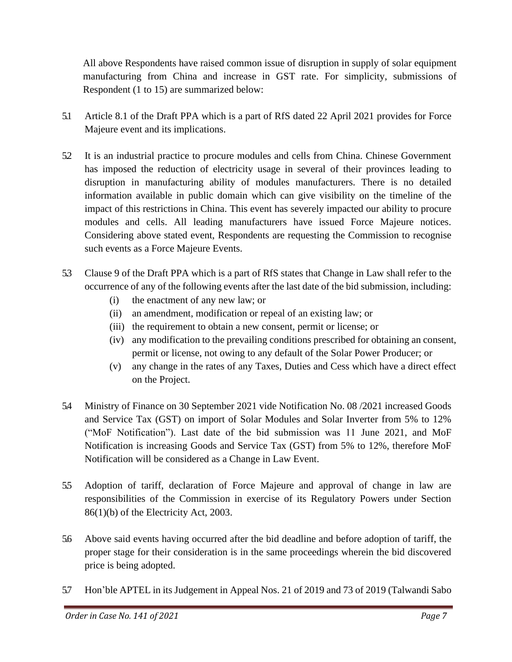All above Respondents have raised common issue of disruption in supply of solar equipment manufacturing from China and increase in GST rate. For simplicity, submissions of Respondent (1 to 15) are summarized below:

- 5.1 Article 8.1 of the Draft PPA which is a part of RfS dated 22 April 2021 provides for Force Majeure event and its implications.
- 5.2 It is an industrial practice to procure modules and cells from China. Chinese Government has imposed the reduction of electricity usage in several of their provinces leading to disruption in manufacturing ability of modules manufacturers. There is no detailed information available in public domain which can give visibility on the timeline of the impact of this restrictions in China. This event has severely impacted our ability to procure modules and cells. All leading manufacturers have issued Force Majeure notices. Considering above stated event, Respondents are requesting the Commission to recognise such events as a Force Majeure Events.
- 5.3 Clause 9 of the Draft PPA which is a part of RfS states that Change in Law shall refer to the occurrence of any of the following events after the last date of the bid submission, including:
	- (i) the enactment of any new law; or
	- (ii) an amendment, modification or repeal of an existing law; or
	- (iii) the requirement to obtain a new consent, permit or license; or
	- (iv) any modification to the prevailing conditions prescribed for obtaining an consent, permit or license, not owing to any default of the Solar Power Producer; or
	- (v) any change in the rates of any Taxes, Duties and Cess which have a direct effect on the Project.
- 5.4 Ministry of Finance on 30 September 2021 vide Notification No. 08 /2021 increased Goods and Service Tax (GST) on import of Solar Modules and Solar Inverter from 5% to 12% ("MoF Notification"). Last date of the bid submission was 11 June 2021, and MoF Notification is increasing Goods and Service Tax (GST) from 5% to 12%, therefore MoF Notification will be considered as a Change in Law Event.
- 5.5 Adoption of tariff, declaration of Force Majeure and approval of change in law are responsibilities of the Commission in exercise of its Regulatory Powers under Section 86(1)(b) of the Electricity Act, 2003.
- 5.6 Above said events having occurred after the bid deadline and before adoption of tariff, the proper stage for their consideration is in the same proceedings wherein the bid discovered price is being adopted.
- 5.7 Hon'ble APTEL in its Judgement in Appeal Nos. 21 of 2019 and 73 of 2019 (Talwandi Sabo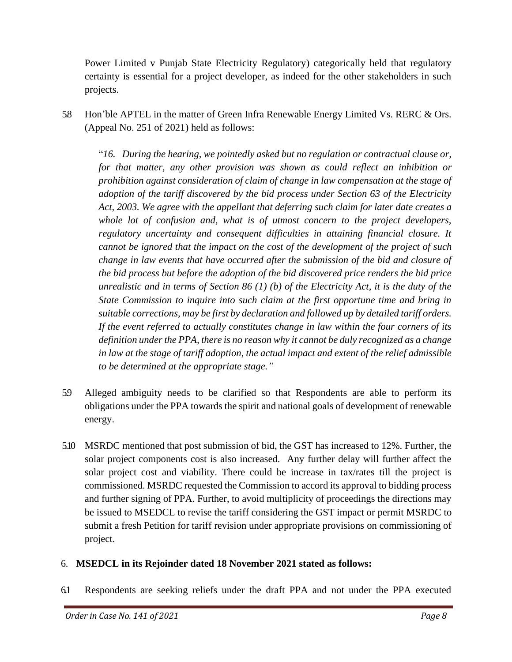Power Limited v Punjab State Electricity Regulatory) categorically held that regulatory certainty is essential for a project developer, as indeed for the other stakeholders in such projects.

5.8 Hon'ble APTEL in the matter of Green Infra Renewable Energy Limited Vs. RERC & Ors. (Appeal No. 251 of 2021) held as follows:

"*16. During the hearing, we pointedly asked but no regulation or contractual clause or, for that matter, any other provision was shown as could reflect an inhibition or prohibition against consideration of claim of change in law compensation at the stage of adoption of the tariff discovered by the bid process under Section 63 of the Electricity Act, 2003. We agree with the appellant that deferring such claim for later date creates a whole lot of confusion and, what is of utmost concern to the project developers, regulatory uncertainty and consequent difficulties in attaining financial closure. It cannot be ignored that the impact on the cost of the development of the project of such change in law events that have occurred after the submission of the bid and closure of the bid process but before the adoption of the bid discovered price renders the bid price unrealistic and in terms of Section 86 (1) (b) of the Electricity Act, it is the duty of the State Commission to inquire into such claim at the first opportune time and bring in suitable corrections, may be first by declaration and followed up by detailed tariff orders. If the event referred to actually constitutes change in law within the four corners of its definition under the PPA, there is no reason why it cannot be duly recognized as a change in law at the stage of tariff adoption, the actual impact and extent of the relief admissible to be determined at the appropriate stage."*

- 5.9 Alleged ambiguity needs to be clarified so that Respondents are able to perform its obligations under the PPA towards the spirit and national goals of development of renewable energy.
- 5.10 MSRDC mentioned that post submission of bid, the GST has increased to 12%. Further, the solar project components cost is also increased. Any further delay will further affect the solar project cost and viability. There could be increase in tax/rates till the project is commissioned. MSRDC requested the Commission to accord its approval to bidding process and further signing of PPA. Further, to avoid multiplicity of proceedings the directions may be issued to MSEDCL to revise the tariff considering the GST impact or permit MSRDC to submit a fresh Petition for tariff revision under appropriate provisions on commissioning of project.

### 6. **MSEDCL in its Rejoinder dated 18 November 2021 stated as follows:**

6.1 Respondents are seeking reliefs under the draft PPA and not under the PPA executed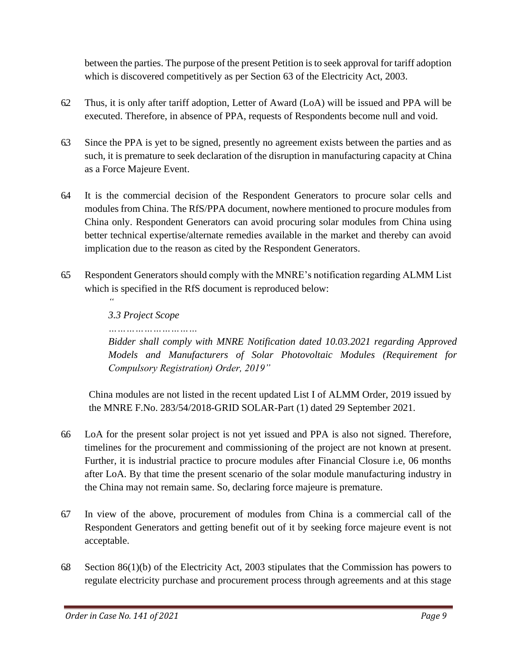between the parties. The purpose of the present Petition is to seek approval for tariff adoption which is discovered competitively as per Section 63 of the Electricity Act, 2003.

- 6.2 Thus, it is only after tariff adoption, Letter of Award (LoA) will be issued and PPA will be executed. Therefore, in absence of PPA, requests of Respondents become null and void.
- 6.3 Since the PPA is yet to be signed, presently no agreement exists between the parties and as such, it is premature to seek declaration of the disruption in manufacturing capacity at China as a Force Majeure Event.
- 6.4 It is the commercial decision of the Respondent Generators to procure solar cells and modules from China. The RfS/PPA document, nowhere mentioned to procure modules from China only. Respondent Generators can avoid procuring solar modules from China using better technical expertise/alternate remedies available in the market and thereby can avoid implication due to the reason as cited by the Respondent Generators.
- 6.5 Respondent Generators should comply with the MNRE's notification regarding ALMM List which is specified in the RfS document is reproduced below:

*3.3 Project Scope*

*…………………………*

*"*

*Bidder shall comply with MNRE Notification dated 10.03.2021 regarding Approved Models and Manufacturers of Solar Photovoltaic Modules (Requirement for Compulsory Registration) Order, 2019"*

China modules are not listed in the recent updated List I of ALMM Order, 2019 issued by the MNRE F.No. 283/54/2018-GRID SOLAR-Part (1) dated 29 September 2021.

- 6.6 LoA for the present solar project is not yet issued and PPA is also not signed. Therefore, timelines for the procurement and commissioning of the project are not known at present. Further, it is industrial practice to procure modules after Financial Closure i.e, 06 months after LoA. By that time the present scenario of the solar module manufacturing industry in the China may not remain same. So, declaring force majeure is premature.
- 6.7 In view of the above, procurement of modules from China is a commercial call of the Respondent Generators and getting benefit out of it by seeking force majeure event is not acceptable.
- 6.8 Section 86(1)(b) of the Electricity Act, 2003 stipulates that the Commission has powers to regulate electricity purchase and procurement process through agreements and at this stage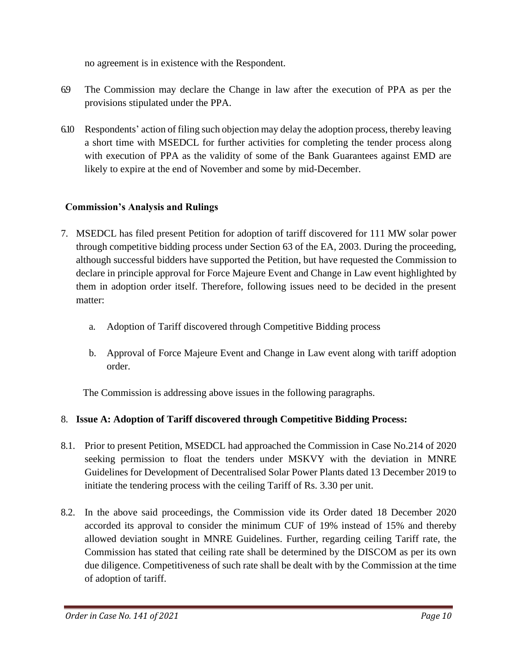no agreement is in existence with the Respondent.

- 6.9 The Commission may declare the Change in law after the execution of PPA as per the provisions stipulated under the PPA.
- 6.10 Respondents' action of filing such objection may delay the adoption process, thereby leaving a short time with MSEDCL for further activities for completing the tender process along with execution of PPA as the validity of some of the Bank Guarantees against EMD are likely to expire at the end of November and some by mid-December.

## **Commission's Analysis and Rulings**

- 7. MSEDCL has filed present Petition for adoption of tariff discovered for 111 MW solar power through competitive bidding process under Section 63 of the EA, 2003. During the proceeding, although successful bidders have supported the Petition, but have requested the Commission to declare in principle approval for Force Majeure Event and Change in Law event highlighted by them in adoption order itself. Therefore, following issues need to be decided in the present matter:
	- a. Adoption of Tariff discovered through Competitive Bidding process
	- b. Approval of Force Majeure Event and Change in Law event along with tariff adoption order.

The Commission is addressing above issues in the following paragraphs.

## 8. **Issue A: Adoption of Tariff discovered through Competitive Bidding Process:**

- 8.1. Prior to present Petition, MSEDCL had approached the Commission in Case No.214 of 2020 seeking permission to float the tenders under MSKVY with the deviation in MNRE Guidelines for Development of Decentralised Solar Power Plants dated 13 December 2019 to initiate the tendering process with the ceiling Tariff of Rs. 3.30 per unit.
- 8.2. In the above said proceedings, the Commission vide its Order dated 18 December 2020 accorded its approval to consider the minimum CUF of 19% instead of 15% and thereby allowed deviation sought in MNRE Guidelines. Further, regarding ceiling Tariff rate, the Commission has stated that ceiling rate shall be determined by the DISCOM as per its own due diligence. Competitiveness of such rate shall be dealt with by the Commission at the time of adoption of tariff.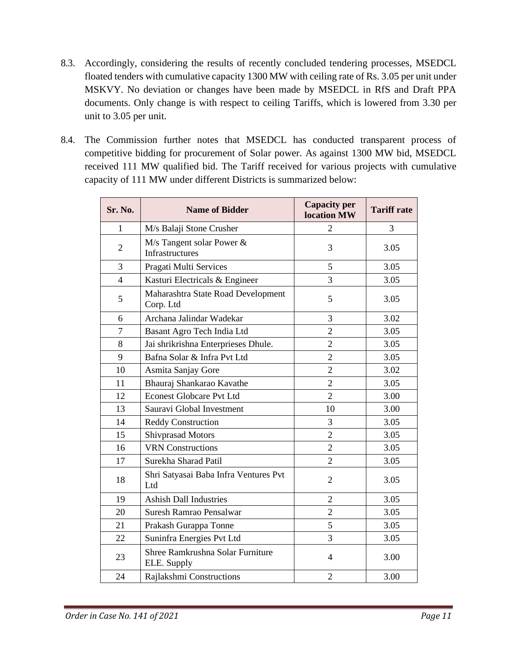- 8.3. Accordingly, considering the results of recently concluded tendering processes, MSEDCL floated tenders with cumulative capacity 1300 MW with ceiling rate of Rs. 3.05 per unit under MSKVY. No deviation or changes have been made by MSEDCL in RfS and Draft PPA documents. Only change is with respect to ceiling Tariffs, which is lowered from 3.30 per unit to 3.05 per unit.
- 8.4. The Commission further notes that MSEDCL has conducted transparent process of competitive bidding for procurement of Solar power. As against 1300 MW bid, MSEDCL received 111 MW qualified bid. The Tariff received for various projects with cumulative capacity of 111 MW under different Districts is summarized below:

| Sr. No.        | <b>Name of Bidder</b>                           | <b>Capacity per</b><br>location MW | <b>Tariff rate</b> |
|----------------|-------------------------------------------------|------------------------------------|--------------------|
| 1              | M/s Balaji Stone Crusher                        | $\overline{2}$                     | 3                  |
| $\overline{2}$ | M/s Tangent solar Power &<br>Infrastructures    | 3                                  | 3.05               |
| 3              | Pragati Multi Services                          | 5                                  | 3.05               |
| $\overline{4}$ | Kasturi Electricals & Engineer                  | 3                                  | 3.05               |
| 5              | Maharashtra State Road Development<br>Corp. Ltd | 5                                  | 3.05               |
| 6              | Archana Jalindar Wadekar                        | 3                                  | 3.02               |
| $\overline{7}$ | Basant Agro Tech India Ltd                      | $\overline{2}$                     | 3.05               |
| 8              | Jai shrikrishna Enterprieses Dhule.             | $\overline{2}$                     | 3.05               |
| 9              | Bafna Solar & Infra Pvt Ltd                     | $\overline{2}$                     | 3.05               |
| 10             | Asmita Sanjay Gore                              | $\overline{2}$                     | 3.02               |
| 11             | Bhauraj Shankarao Kavathe                       | $\overline{2}$                     | 3.05               |
| 12             | <b>Econest Globcare Pvt Ltd</b>                 | $\overline{2}$                     | 3.00               |
| 13             | Sauravi Global Investment                       | 10                                 | 3.00               |
| 14             | <b>Reddy Construction</b>                       | 3                                  | 3.05               |
| 15             | <b>Shivprasad Motors</b>                        | $\overline{c}$                     | 3.05               |
| 16             | <b>VRN</b> Constructions                        | $\overline{2}$                     | 3.05               |
| 17             | Surekha Sharad Patil                            | $\overline{2}$                     | 3.05               |
| 18             | Shri Satyasai Baba Infra Ventures Pvt<br>Ltd    | $\overline{2}$                     | 3.05               |
| 19             | <b>Ashish Dall Industries</b>                   | $\overline{2}$                     | 3.05               |
| 20             | Suresh Ramrao Pensalwar                         | $\overline{2}$                     | 3.05               |
| 21             | Prakash Gurappa Tonne                           | 5                                  | 3.05               |
| 22             | Suninfra Energies Pvt Ltd                       | 3                                  | 3.05               |
| 23             | Shree Ramkrushna Solar Furniture<br>ELE. Supply | $\overline{4}$                     | 3.00               |
| 24             | Rajlakshmi Constructions                        | $\overline{2}$                     | 3.00               |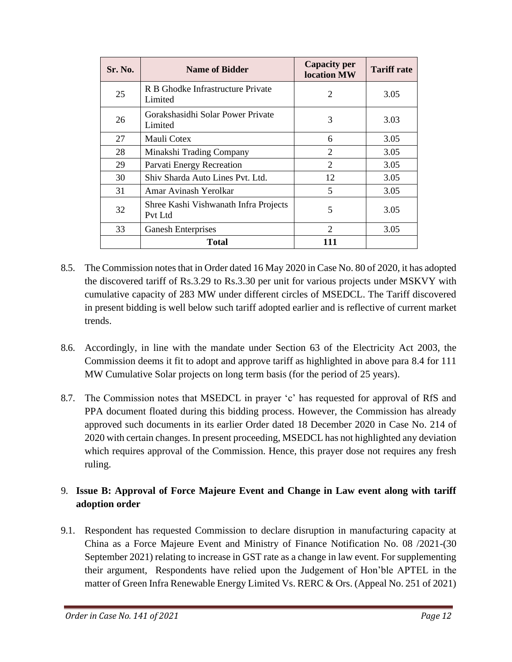| Sr. No. | <b>Name of Bidder</b>                            | <b>Capacity per</b><br>location MW | <b>Tariff rate</b> |
|---------|--------------------------------------------------|------------------------------------|--------------------|
| 25      | R B Ghodke Infrastructure Private<br>Limited     | $\overline{c}$                     | 3.05               |
| 26      | Gorakshasidhi Solar Power Private<br>Limited     | 3                                  | 3.03               |
| 27      | Mauli Cotex                                      | 6                                  | 3.05               |
| 28      | Minakshi Trading Company                         | $\overline{c}$                     | 3.05               |
| 29      | Parvati Energy Recreation                        | 2                                  | 3.05               |
| 30      | Shiv Sharda Auto Lines Pvt. Ltd.                 | 12                                 | 3.05               |
| 31      | Amar Avinash Yerolkar                            | 5                                  | 3.05               |
| 32      | Shree Kashi Vishwanath Infra Projects<br>Pvt Ltd | 5                                  | 3.05               |
| 33      | <b>Ganesh Enterprises</b>                        | $\mathfrak{D}$                     | 3.05               |
|         | Total                                            | 111                                |                    |

- 8.5. The Commission notes that in Order dated 16 May 2020 in Case No. 80 of 2020, it has adopted the discovered tariff of Rs.3.29 to Rs.3.30 per unit for various projects under MSKVY with cumulative capacity of 283 MW under different circles of MSEDCL. The Tariff discovered in present bidding is well below such tariff adopted earlier and is reflective of current market trends.
- 8.6. Accordingly, in line with the mandate under Section 63 of the Electricity Act 2003, the Commission deems it fit to adopt and approve tariff as highlighted in above para 8.4 for 111 MW Cumulative Solar projects on long term basis (for the period of 25 years).
- 8.7. The Commission notes that MSEDCL in prayer 'c' has requested for approval of RfS and PPA document floated during this bidding process. However, the Commission has already approved such documents in its earlier Order dated 18 December 2020 in Case No. 214 of 2020 with certain changes. In present proceeding, MSEDCL has not highlighted any deviation which requires approval of the Commission. Hence, this prayer dose not requires any fresh ruling.

## 9. **Issue B: Approval of Force Majeure Event and Change in Law event along with tariff adoption order**

9.1. Respondent has requested Commission to declare disruption in manufacturing capacity at China as a Force Majeure Event and Ministry of Finance Notification No. 08 /2021-(30 September 2021) relating to increase in GST rate as a change in law event. For supplementing their argument, Respondents have relied upon the Judgement of Hon'ble APTEL in the matter of Green Infra Renewable Energy Limited Vs. RERC & Ors. (Appeal No. 251 of 2021)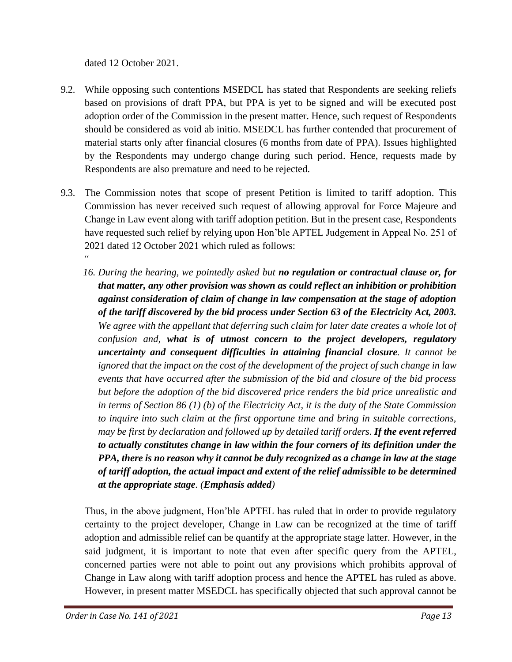dated 12 October 2021.

- 9.2. While opposing such contentions MSEDCL has stated that Respondents are seeking reliefs based on provisions of draft PPA, but PPA is yet to be signed and will be executed post adoption order of the Commission in the present matter. Hence, such request of Respondents should be considered as void ab initio. MSEDCL has further contended that procurement of material starts only after financial closures (6 months from date of PPA). Issues highlighted by the Respondents may undergo change during such period. Hence, requests made by Respondents are also premature and need to be rejected.
- 9.3. The Commission notes that scope of present Petition is limited to tariff adoption. This Commission has never received such request of allowing approval for Force Majeure and Change in Law event along with tariff adoption petition. But in the present case, Respondents have requested such relief by relying upon Hon'ble APTEL Judgement in Appeal No. 251 of 2021 dated 12 October 2021 which ruled as follows: *"*
	- *16. During the hearing, we pointedly asked but no regulation or contractual clause or, for that matter, any other provision was shown as could reflect an inhibition or prohibition against consideration of claim of change in law compensation at the stage of adoption of the tariff discovered by the bid process under Section 63 of the Electricity Act, 2003.* We agree with the appellant that deferring such claim for later date creates a whole lot of *confusion and, what is of utmost concern to the project developers, regulatory uncertainty and consequent difficulties in attaining financial closure. It cannot be ignored that the impact on the cost of the development of the project of such change in law events that have occurred after the submission of the bid and closure of the bid process but before the adoption of the bid discovered price renders the bid price unrealistic and in terms of Section 86 (1) (b) of the Electricity Act, it is the duty of the State Commission to inquire into such claim at the first opportune time and bring in suitable corrections, may be first by declaration and followed up by detailed tariff orders. If the event referred to actually constitutes change in law within the four corners of its definition under the PPA, there is no reason why it cannot be duly recognized as a change in law at the stage of tariff adoption, the actual impact and extent of the relief admissible to be determined at the appropriate stage. (Emphasis added)*

Thus, in the above judgment, Hon'ble APTEL has ruled that in order to provide regulatory certainty to the project developer, Change in Law can be recognized at the time of tariff adoption and admissible relief can be quantify at the appropriate stage latter. However, in the said judgment, it is important to note that even after specific query from the APTEL, concerned parties were not able to point out any provisions which prohibits approval of Change in Law along with tariff adoption process and hence the APTEL has ruled as above. However, in present matter MSEDCL has specifically objected that such approval cannot be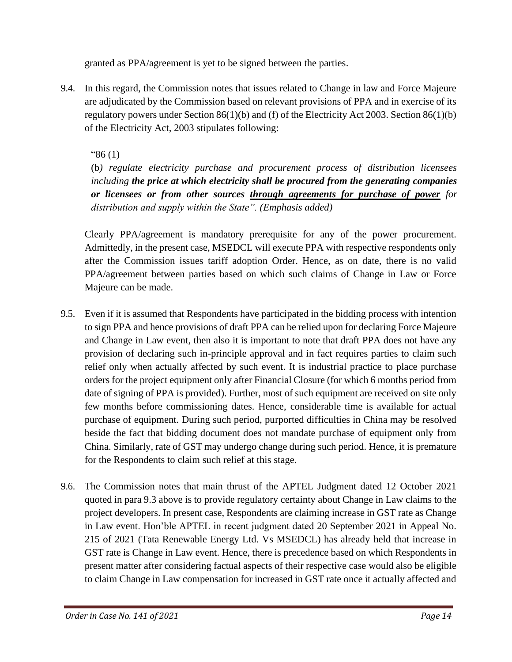granted as PPA/agreement is yet to be signed between the parties.

9.4. In this regard, the Commission notes that issues related to Change in law and Force Majeure are adjudicated by the Commission based on relevant provisions of PPA and in exercise of its regulatory powers under Section 86(1)(b) and (f) of the Electricity Act 2003. Section 86(1)(b) of the Electricity Act, 2003 stipulates following:

"86 (1)

(b*) regulate electricity purchase and procurement process of distribution licensees including the price at which electricity shall be procured from the generating companies or licensees or from other sources through agreements for purchase of power for distribution and supply within the State". (Emphasis added)*

Clearly PPA/agreement is mandatory prerequisite for any of the power procurement. Admittedly, in the present case, MSEDCL will execute PPA with respective respondents only after the Commission issues tariff adoption Order. Hence, as on date, there is no valid PPA/agreement between parties based on which such claims of Change in Law or Force Majeure can be made.

- 9.5. Even if it is assumed that Respondents have participated in the bidding process with intention to sign PPA and hence provisions of draft PPA can be relied upon for declaring Force Majeure and Change in Law event, then also it is important to note that draft PPA does not have any provision of declaring such in-principle approval and in fact requires parties to claim such relief only when actually affected by such event. It is industrial practice to place purchase orders for the project equipment only after Financial Closure (for which 6 months period from date of signing of PPA is provided). Further, most of such equipment are received on site only few months before commissioning dates. Hence, considerable time is available for actual purchase of equipment. During such period, purported difficulties in China may be resolved beside the fact that bidding document does not mandate purchase of equipment only from China. Similarly, rate of GST may undergo change during such period. Hence, it is premature for the Respondents to claim such relief at this stage.
- 9.6. The Commission notes that main thrust of the APTEL Judgment dated 12 October 2021 quoted in para 9.3 above is to provide regulatory certainty about Change in Law claims to the project developers. In present case, Respondents are claiming increase in GST rate as Change in Law event. Hon'ble APTEL in recent judgment dated 20 September 2021 in Appeal No. 215 of 2021 (Tata Renewable Energy Ltd. Vs MSEDCL) has already held that increase in GST rate is Change in Law event. Hence, there is precedence based on which Respondents in present matter after considering factual aspects of their respective case would also be eligible to claim Change in Law compensation for increased in GST rate once it actually affected and